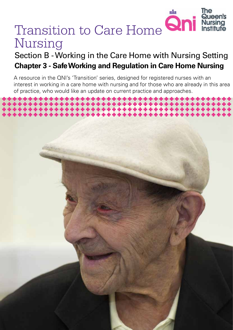# Queen's Transition to Care Home **Qni** Nursing

## Section B - Working in the Care Home with Nursing Setting **Chapter 3 - Safe Working and Regulation in Care Home Nursing**

A resource in the QNI's 'Transition' series, designed for registered nurses with an interest in working in a care home with nursing and for those who are already in this area of practice, who would like an update on current practice and approaches.

ka da aka da aka da aka da aka da aka d

*Transition to Care Home Nursing 1*

The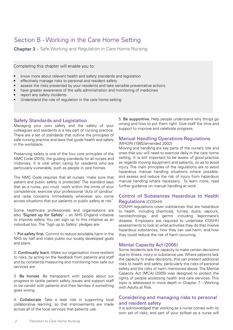### Section B - Working in the Care Home Setting

**Chapter 3 -** Safe Working and Regulation in Care Home Nursing

Completing this chapter will enable you to:

- know more about relevant health and safety standards and legislation
- effectively manage risks to personal and resident safety
- assess the risks presented by your residents and take sensible preventative actions
- have greater awareness of the safe administration and monitoring of medicines
- report any safety incidents
- Understand the role of regulation in the care home setting

#### Safety Standards and Legislation

Managing your own safety and the safety of your colleagues and residents is a key part of nursing practice. There are a set of standards that outline the principles of safe nursing practice and laws that quide health and safety in the workplace.

Preserving safety is one of the four core principles of the NMC Code (2015), the guiding standards for all nurses and midwives. It is vital when caring for residents who are particularly vulnerable, such as people in care homes.

The NMC Code requires that all nurses 'make sure that patient and public safety is protected.' The standard says that as a nurse, you must 'work within the limits of your competence, exercise your professional 'duty of candour' and raise concerns immediately whenever you come across situations that put patients or public safety at risk.'

Some healthcare professionals and organisations are also 'Signed up for Safety' – an NHS England initiative to improve safety. You can sign up to this initiative as an individual too. The 'Sign up to Safety' pledges are:

1. Put safety first. Commit to reduce avoidable harm in the NHS by half and make public our locally developed goals and plans.

2. Continually learn. Make our organisation more resilient to risks, by acting on the feedback from patients and staff and by constantly measuring and monitoring how safe our services are.

3. Be honest. Be transparent with people about our progress to tackle patient safety issues and support staff to be candid with patients and their families if something goes wrong.

4. Collaborate. Take a lead role in supporting local collaborative learning, so that improvements are made across all of the local services that patients use.

5. Be supportive. Help people understand why things go wrong and how to put them right. Give staff the time and support to improve and celebrate progress.

### Manual Handling Operations Regulations

(MHOR) (1992/amended 2002)

Moving and handling are key parts of the nurse's role and ones that you will need to exercise daily in the care home setting. It is still important to be aware of good practice as regards moving equipment and patients, so as to avoid injury. The main principles of the regulations are to avoid hazardous manual handling situations where possible, and assess and reduce the risk of injury from hazardous manual handling where necessary. To learn more, read further guidance on manual handling at work .

#### Control of Substances Hazardous to Health Regulations (COSHH)

COSHH regulations cover substances that are hazardous to health, including chemicals, fumes, dusts, vapours, nanotechnology, and germs including legionnaire's disease. Employers are required to undertake COSHH assessments to look at what activities they do that involve hazardous substances, how they can use harm, and how they could reduce the risk of harm occurring.

#### Mental Capacity Act (2005)

Some residents lack the capacity to make certain decisions due to illness, injury or substance use. Where patients lack the capacity to make decisions, this can present additional risks to health and safety, particularly the risks of personal safety and the risks of harm mentioned above. The Mental Capacity Act (MCA) (2005) was designed to protect the rights of people accessing health and care services. This topic is addressed in more depth in Chapter 7 – Working with Adults at Risk.

#### Considering and managing risks to personal and resident safety

It is acknowledged that working as a nurse comes with its own set of risks, and part of your skillset as a nurse will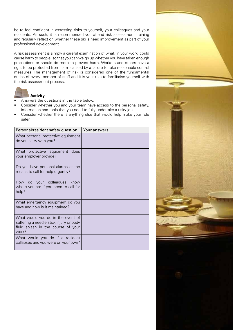be to feel confident in assessing risks to yourself, your colleagues and your residents. As such, it is recommended you attend risk assessment training and regularly reflect on whether these skills need improvement as part of your professional development.

A risk assessment is simply a careful examination of what, in your work, could cause harm to people, so that you can weigh up whether you have taken enough precautions or should do more to prevent harm. Workers and others have a right to be protected from harm caused by a failure to take reasonable control measures. The management of risk is considered one of the fundamental duties of every member of staff and it is your role to familiarise yourself with the risk assessment process.



- Answers the questions in the table below.
- Consider whether you and your team have access to the personal safety. information and tools that you need to fully undertake a risky job.
- Consider whether there is anything else that would help make your role safer.

| Personal/resident safety question                                                                                           | Your answers |
|-----------------------------------------------------------------------------------------------------------------------------|--------------|
| What personal protective equipment<br>do you carry with you?                                                                |              |
| What protective equipment<br>does<br>your employer provide?                                                                 |              |
| Do you have personal alarms or the<br>means to call for help urgently?                                                      |              |
| How do your colleagues<br>know<br>where you are if you need to call for<br>help?                                            |              |
| What emergency equipment do you<br>have and how is it maintained?                                                           |              |
| What would you do in the event of<br>suffering a needle stick injury or body<br>fluid splash in the course of your<br>work? |              |
| What would you do if a resident<br>collapsed and you were on your own?                                                      |              |

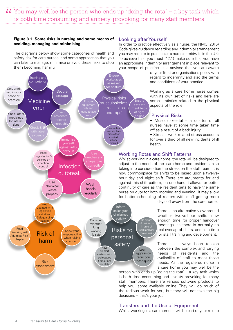$\binom{1}{1}$  You may well be the person who ends up 'doing the rota' – a key task which is both time consuming and anxiety-provoking for many staff members. is both time consuming and anxiety-provoking for many staff members.

#### **Figure 3.1 Some risks in nursing and some means of avoiding, managing and minimising**

The diagrams below show some categories of health and safety risk for care nurses, and some approaches that you can take to manage, minimise or avoid these risks to stop them becoming harmful.



#### Looking after Yourself

In order to practice effectively as a nurse, the NMC (2015) Code gives guidance regarding any indemnity arrangement you may require to practice as a nurse or midwife in the UK: To achieve this, you must (12.1) make sure that you have an appropriate indemnity arrangement in place relevant to your scope of practice. It is advised that you are aware

> of your Trust or organisations policy with regard to indemnity and also the terms

> Working as a care home nurse comes with its own set of risks and here are some statistics related to the physical

> • Musculoskeletal – a quarter of all nurses have at some time taken time

> • Stress - work related stress accounts for over a third of all new incidents of ill

Whilst working in a care home, the rota will be designed to adjust to the needs of the care home and residents, also taking into consideration the stress on the staff team. It is now commonplace for shifts to be based upon a twelvehour day and night shift. There are arguments for and against this shift pattern; on one hand it allows for better continuity of care as the resident gets to have the same nurse on duty for both morning and evening. It may allow for better scheduling of rosters with staff getting more

days off away from the care home.

There is an alternative view around whether twelve-hour shifts allow enough time for proper handover meetings, as there is normally no real overlap of shifts, and also time for staff training and development.

There has always been tension between the complex and varying needs of residents and the availability of staff to meet those needs. As the registered nurse in a care home you may well be the

is both time consuming and anxiety provoking for many staff members. There are various software products to help you, some available online. They will do much of the tedious work for you, but they will not take the big decisions – that's your job.

#### Transfers and the Use of Equipment

Whilst working in a care home, it will be part of your role to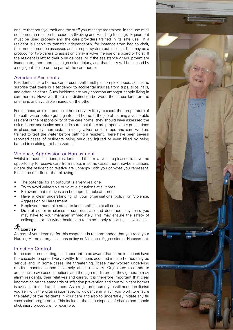ensure that both yourself and the staff you manage are trained in the use of all equipment in relation to residents (Moving and Handling Training). Equipment must be used properly and the care providers trained in its safe use. If a resident is unable to transfer independently, for instance from bed to chair, their needs must be assessed and a proper system put in place. This may be a protocol for two carers to assist or it may involve the use of a board or hoist. If the resident is left to their own devices, or if the assistance or equipment are inadequate, then there is a high risk of injury, and that injury will be caused by a negligent failure on the part of the care home.

#### Avoidable Accidents

Residents in care homes can present with multiple complex needs, so it is no surprise that there is a tendency to accidental injuries from trips, slips, falls, and other incidents. Such incidents are very common amongst people living in care homes. However, there is a distinction between those accidents on the one hand and avoidable injuries on the other.

For instance, an older person at home is very likely to check the temperature of the bath water before getting into it at home. If the job of bathing a vulnerable resident is the responsibility of the care home, they should have assessed the risk of burns and scalds and made sure that there are proper safety precautions in place, namely thermostatic mixing valves on the taps and care workers trained to test the water before bathing a resident. There have been several reported cases of residents being seriously injured or even killed by being bathed in scalding hot bath water.

#### Violence, Aggression or Harassment

Whilst in most situations, residents and their relatives are pleased to have the opportunity to receive care from nurse, in some cases there maybe situations where the resident or relative are unhappy with you or what you represent. Please be mindful of the following:

- The potential for an outburst is a very real one
- Try to avoid vulnerable or volatile situations at all times
- Be aware that relatives can be unpredictable at times
- Have a clear understanding of your organisations policy on Violence, Aggression or Harassment
- Employers must take steps to keep staff safe at all times
- Do not suffer in silence communicate and document any fears you may have to your manager immediately. This may ensure the safety of colleagues or the wider healthcare team so timely reporting is invaluable.

### **Exercise**

As part of your learning for this chapter, it is recommended that you read your Nursing Home or organisations policy on Violence, Aggression or Harassment.

#### Infection Control

In the care home setting, it is important to be aware that some infections have the capacity to spread very swiftly. Infections acquired in care homes may be serious and, in some cases, life threatening. These may worsen underlying medical conditions and adversely affect recovery. Organisms resistant to antibiotics may cause infections and the high media profile they generate may alarm residents, their relatives and carers. It is therefore important that clear information on the standards of infection prevention and control in care homes is available to staff at all times. As a registered nurse you will need familiarise yourself with the organisation specific guidance in which you work to ensure the safety of the residents in your care and also to undertake / initiate any flu vaccination programme. This includes the safe disposal of sharps and needle stick injury procedure, for example.

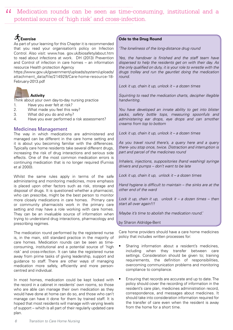# II Medication rounds can be seen as time-consuming, institutional and a potential source of 'high risk' and cross-infection. potential source of 'high risk' and cross-infection.

# **Exercise**

As part of your learning for this Chapter it is recommended that you read your organisation's policy on Infection Control. Also visit: www.hse. gov.uk/biosafety/about.htm to read about infections at work. DH (2013) Prevention and Control of infection in care homes – an information resource Health protection Agency

https://www.gov.uk/government/uploads/system/uploads/ attachment\_data/file/214929/Care-home-resource-18- February-2013.pdf



Think about your own day-to-day nursing practice

- 1. Have you ever felt at risk?
- 2. What made you feel this way?
- 3. What did you do and why?
- 4. Have you ever performed a risk assessment?

#### Medicines Management

The way in which medications are administered and managed can be different in the care home setting and it is about you becoming familiar with the differences. Typically care home residents take several different drugs, increasing the risk of drug interactions and serious side effects. One of the most common medication errors is continuing medication that is no longer required (Furniss et al 2000).

Whilst the same rules apply in terms of the safe administering and monitoring medicines, more emphasis is placed upon other factors such as risk, storage and disposal of drugs. It is questioned whether a pharmacist, who can prescribe, might be the best person to monitor more closely medications in care homes. Primary care or community pharmacists work in the primary care setting and may have a role working with care homes. They can be an invaluable source of information when trying to understand drug interactions, pharmacology and prescribing regimes.

The medication round performed by the registered nurse is, in the main, still standard practice in the majority of care homes. Medication rounds can be seen as timeconsuming, institutional and a potential source of 'high risk' and cross-infection. It can take the registered nurse away from prime tasks of giving leadership, support and guidance to staff. There are other ways of managing medication more safely, efficiently and more personcentred and individual.

In most homes, medication could be kept locked with the record in a cabinet in residents' own rooms, so those who are able can manage their own medication as they would have done at home can do so, and those who can't manage can have it done for them by trained staff. It is hoped that most residents will manage with varying levels of support – which is all part of their regularly updated care plan.

#### **Ode to the Drug Round**

*'The loneliness of the long-distance drug round*

*Yes, the handover is finished and the staff team have dispersed to help the residents get on with their day. As the only qualified on duty, it is your role to wrestle with the drugs trolley and run the gauntlet doing the medication round.* 

*Lock it up, chain it up, unlock it – a dozen times* 

*Squinting to read the medication charts, decipher illegible handwriting.*

*You have developed an innate ability to get into blister packs, safety bottle tops, measuring spoonfuls and administering ear drops, eye drops and can smother creams from top to bottom*

*Lock it up, chain it up, unlock it – a dozen times* 

*As you travel round there's, a query here and a query there- you stop once, twice. Distraction and interruption is part and parcel of the medicines round* 

*Inhalers, injections, suppositories (hand washing) syringe drivers and pumps – don't want to be late* 

*Lock it up, chain it up, unlock it – a dozen times* 

*Hand hygiene is difficult to maintain – the sinks are at the other end of the ward*

*Lock it up, chain it up, unlock it – a dozen times – then start all over again!!!*

*Maybe it's time to abolish the medication round.'*

by Sharon Aldridge-Bent

Care home providers should have a care home medicines policy that includes written processes for:

- Sharing information about a resident's medicines, including when they transfer between care settings. Consideration should be given to; training requirements, the definition of responsibilities, overcoming communication problems and monitoring compliance to compliance.
- Ensuring that records are accurate and up to date. The policy should cover the recording of information in the resident's care plan, medicines administration record, correspondence, and messages about medicines. It should take into consideration information required for the transfer of care even when the resident is away from the home for a short time.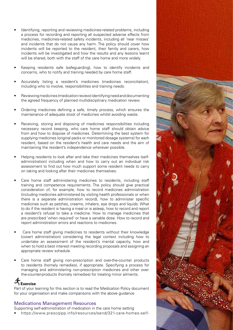- Identifying, reporting and reviewing medicines-related problems, including a process for recording and reporting all suspected adverse effects from medicines, medicines-related safety incidents, including all 'near misses' and incidents that do not cause any harm. The policy should cover how incidents will be reported to the resident, their family and carers, how incidents will be investigated and how the results and any lessons learnt will be shared, both with the staff of the care home and more widely.
- Keeping residents safe (safeguarding), how to identify incidents and concerns, who to notify and training needed by care home staff.
- Accurately listing a resident's medicines (medicines reconciliation), including who to involve, responsibilities and training needs.
- Reviewing medicines (medication review) identifying need and documenting the agreed frequency of planned multidisciplinary medication review.
- Ordering medicines defining a safe, timely process, which ensures the maintenance of adequate stock of medicines whilst avoiding waste.
- Receiving, storing and disposing of medicines responsibilities including necessary record keeping, who care home staff should obtain advice from and how to dispose of medicines. Determining the best system for supplying medicines (original packs or monitored dosage systems) for each resident, based on the resident's health and care needs and the aim of maintaining the resident's independence wherever possible.
- Helping residents to look after and take their medicines themselves (selfadministration) including when and how to carry out an individual risk assessment to find out how much support some resident needs to carry on taking and looking after their medicines themselves.
- Care home staff administering medicines to residents, including staff training and competence requirements. The policy should give practical consideration of, for example, how to record medicines administration (including medicines administered by visiting health professionals or when there is a separate administration record), how to administer specific medicines such as patches, creams, inhalers, eye drops and liquids. What to do if the resident is having a meal or is asleep, how to record and report a resident's refusal to take a medicine. How to manage medicines that are prescribed 'when required' or have a variable dose. How to record and report administration errors and reactions to medicines.
- Care home staff giving medicines to residents without their knowledge (covert administration) considering the legal context including how to undertake an assessment of the resident's mental capacity, how and when to hold a best interest meeting recording proposals and assigning an appropriate review schedule.
- Care home staff giving non-prescription and over-the-counter products to residents (homely remedies), if appropriate. Specifying a process for managing and administering non-prescription medicines and other overthe-counter-products (homely remedies) for treating minor ailments.

### **Exercise**

Part of your learning for this section is to read the Medication Policy document for your organisation and make comparisons with the above guidance

#### Medications Management Resources

Supporting self-administration of medication in the care home setting

• https://www.prescqipp.info/resources/send/321-care-homes-self-

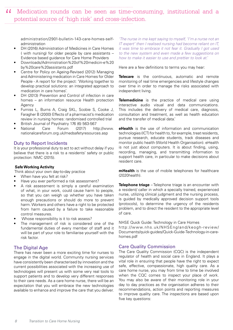# II Medication rounds can be seen as time-consuming, institutional and a potential source of 'high risk' and cross-infection. potential source of 'high risk' and cross-infection.

administration/2901-bulletin-143-care-homes-selfadministration

- DH (2016) Administration of Medicines in Care Homes ( with nursing) for older people by care assistants – Evidence based guidance for Care Home Providers
- Downloads/Administration%20of%20medicin-e%20 by%20care%20assistants.pdf
- Centre for Policy on Ageing-Revised (2012) Managing and Administering medication in Care Homes for Older People - A report for the project: 'Working together to develop practical solutions: an integrated approach to medication in care homes'.
- DH (2013) Prevention and Control of infection in care homes – an information resource Health protection Agency
- Furniss L, Burns A, Craig SKL, Scobie S, Cooke J, Faragher B (2000) Effects of a pharmacist's medication review in nursing homes: randomised controlled trial
- British Journal of Psychiatry 176 (6) 563-567
- National Care Forum (2017) http://www. nationalcareforum.org.uk/medsafetyresources.asp

#### Duty to Report Incidents

It is your professional duty to act to act without delay if you believe that there is a risk to a residents' safety or public protection: NMC (2015).

#### **Safe Working Activity**

Think about your own day-to-day practice

- When have you felt at risk?
- Have you ever performed a risk assessment?
- A risk assessment is simply a careful examination of what, in your work, could cause harm to people, so that you can weigh up whether you have taken enough precautions or should do more to prevent harm. Workers and others have a right to be protected from harm caused by a failure to take reasonable control measures.
- Whose responsibility is it to risk assess?
- The management of risk is considered one of the fundamental duties of every member of staff and it will be part of your role to familiarise yourself with the risk factor.

#### The Digital Age

There has never been a more exciting time for nurses to engage in the digital world. Community nursing services have consistently been characterised by innovation and the current possibilities associated with the increasing use of technologies will present us with some very real tools to support patients and to develop very different responses to their care needs. As a care home nurse, there will be an expectation that you will embrace the new technologies available to enhance and improve the care that you deliver.

*'The nurse in me kept saying to myself, 'I'm a nurse not an IT expert' then I realised nursing had become reliant on IT, it was time to embrace it not fear it. Gradually I got used to the new system and even made a few suggestions on how to make it easier to use and prettier to look at.'* 

Here are a few definitions to terms you may hear:

**Telecare** is the continuous, automatic and remote monitoring of real time emergencies and lifestyle changes over time in order to manage the risks associated with independent living.

**Telemedicine** is the practice of medical care using interactive audio visual and data communications. This includes the delivery of medical care, diagnosis, consultation and treatment, as well as health education and the transfer of medical data'

**eHealth** is the use of information and communication technologies (ICT) for health to, for example, treat residents, pursue research, educate students, track diseases and monitor public health (World Health Organisation). eHealth is not just about computers. It is about finding, using, recording, managing, and transmitting information to support health care, in particular to make decisions about resident care.

**mHealth** is the use of mobile telephones for healthcare (2020health).

**Telephone triage** – Telephone triage is an encounter with a resident/ caller in which a specially trained, experienced nurse, utilizing clinical judgment and the nursing process, is guided by medically approved decision support tools (protocols), to determine the urgency of the residents problem, and to direct the resident to the appropriate level of care.

NHSE Quick Guide: Technology in Care Homes

http://www.nhs.uk/NHSEngland/keogh-review/ Documents/quick-guides/Quick-Guide-Technology-in-carehomes.pdf

#### Care Quality Commission

The Care Quality Commission (CQC) is the independent regulator of health and social care in England. It plays a vital role in ensuring that people have the right to expect safe, effective, compassionate, high quality care. As a care home nurse, you may from time to time be involved when the CQC comes to inspect your place of work. You may also be aware of their monitoring role in your day to day practices as the organisation adheres to their recommendations, action points and reporting measures to improve quality care. The inspections are based upon five key questions: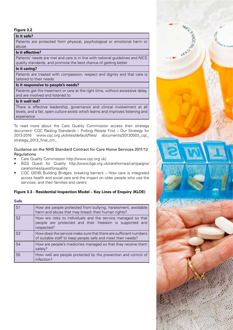#### **Figure 3.2**

#### **Is it safe?**

Patients are protected from physical, psychological or emotional harm or abuse

#### **Is it effective?**

Patients' needs are met and care is in line with national guidelines and NICE quality standards, and promote the best chance of getting better

#### **Is it caring?**

Patients are treated with compassion, respect and dignity and that care is tailored to their needs

#### **Is it responsive to people's needs?**

Patients get the treatment or care at the right time, without excessive delay, and are involved and listened to

#### **Is it well led?**

There is effective leadership, governance and clinical involvement at all levels, and a fair, open culture exists which learns and improves listening and experience

To read more about the Care Quality Commission access their strategy document: CQC Raising Standards – Putting People First – Our Strategy for 2013-2016 www.cqc.org.uk/sites/default/files/ documents/20130503\_cqc\_ strategy\_2013\_final\_cm\_

#### Guidance on the NHS Standard Contract for Care Home Services 2011/12 **Requlations**

- Care Quality Commission http://www.cqc.org.uk/
- BGS Quest for Quality http://www.bgs.org.uk/carehomes/campaigns/ carehomes/questforquality
- CQC (2016) Building Bridges, breaking barriers How care is integrated across health and social care and the impact on older people who use the services, and their families and carers

#### **Figure 3.3 - Residential Inspection Model – Key Lines of Enquiry (KLOE)**

#### **Safe**

| S <sub>1</sub> | How are people protected from bullying, harassment, avoidable<br>harm and abuse that may breach their human rights?                   |
|----------------|---------------------------------------------------------------------------------------------------------------------------------------|
| S <sub>2</sub> | How are risks to individuals and the service managed so that<br>people are protected and their freedom is supported and<br>respected? |
| S <sub>3</sub> | How does the service make sure that there are sufficient numbers<br>of suitable staff to keep people safe and meet their needs?       |
| S <sub>4</sub> | How are people's medicines managed so that they receive them<br>safely?                                                               |
| S <sub>5</sub> | How well are people protected by the prevention and control of<br>infection?                                                          |

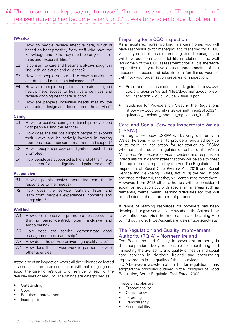II The nurse in me kept saying to myself, 'I'm a nurse not an IT expert' then I realised nursing had become reliant on IT, it was time to embrace it not fear it. realised nursing had become reliant on IT, it was time to embrace it not fear it.

#### **Effective**

| E1             | How do people receive effective care, which is<br>based on best practice, from staff who have the<br>knowledge and skills they need to carry out their<br>roles and responsibilities? |
|----------------|---------------------------------------------------------------------------------------------------------------------------------------------------------------------------------------|
| E2             | Is consent to care and treatment always sought in<br>line with legislation and guidance?                                                                                              |
| F <sub>3</sub> | How are people supported to have sufficient to<br>eat, drink and maintain a balanced diet?                                                                                            |
| F4             | How are people supported to maintain good<br>health, have access to healthcare services and<br>receive ongoing healthcare support?                                                    |
| F5             | How are people's individual needs met by the<br>adaptation, design and decoration of the service?                                                                                     |

#### **Caring**

| C1             | How are positive caring relationships developed<br>with people using the service?                                                                      |
|----------------|--------------------------------------------------------------------------------------------------------------------------------------------------------|
| C <sub>2</sub> | How does the service support people to express<br>their views and be actively involved in making<br>decisions about their care, treatment and support? |
| C <sub>3</sub> | How is people's privacy and dignity respected and<br>promoted?                                                                                         |
| C4             | How people are supported at the end of their life to<br>have a comfortable, dignified and pain free death?                                             |

#### **Responsive**

| R1   | How do people receive personalised care that is<br>responsive to their needs?                             |
|------|-----------------------------------------------------------------------------------------------------------|
| l R2 | How does the service routinely listen and<br>learn from people's experiences, concerns and<br>complaints? |

#### **Well led**

| W <sub>1</sub> | How does the service promote a positive culture<br>that is person-centred, open, inclusive and<br>empowering? |
|----------------|---------------------------------------------------------------------------------------------------------------|
| W <sub>2</sub> | How does the service demonstrate good<br>management and leadership?                                           |
| W <sub>3</sub> | How does the service deliver high quality care?                                                               |
| W <sub>4</sub> | How does the service work in partnership with<br>other agencies?                                              |

At the end of an inspection where all the evidence collected is assessed, the inspection team will make a judgment about the care home's quality of service for each of the five key lines of enquiry. The ratings are categorised as:

- Outstanding
- Good
- Requires Improvement
- **Inadequate**

#### Preparing for a CQC Inspection

As a registered nurse working in a care home, you will have responsibility for managing and preparing for a CQC visit. If you are the care home registered manager you will have additional accountability in relation to the well led domain of the CQC assessment criteria. It is therefore imperative that you have a clear understanding of the inspection process and take time to familiarise yourself with how your organisation prepares for inspection.

- Preparation for inspection quick guide http://www. cqc.org.uk/sites/default/files/documents/cqc\_prep\_ for\_inspection\_-\_quick\_guide\_-\_final\_0.pdf
- Guidance for Providers on Meeting the Regulations http://www.cqc.org.uk/sites/default/files/20150324\_ guidance\_providers\_meeting\_regulations\_01.pdf

#### Care and Social Services Inspectorate Wales (CSSIW)

The regulatory body CSSIW works very differently in Wales. Persons who wish to provide a regulated service must make an application for registration to CSSIW who act as the service regulator on behalf of the Welsh Ministers. Prospective service providers and responsible individuals must demonstrate that they will be able to meet the requirements imposed by the Act (The Regulation and Inspection of Social Care (Wales) Act 2016 and Social Service and Well-being (Wales) Act 2014) the regulations and once registered, that they will continue to meet them. However, from 2018 all care homes will be considered equal for regulation but with specialism in areas such as dementia, mental health, learning difficulties etc. this will be reflected in their statement of purpose.

A range of learning resources for providers has been developed, to give you an overview about the Act and how it will affect you. Visit the Information and Learning Hub to find out more. https://socialcare.wales/hub/riscact-faqs

#### The Regulation and Quality Improvement Authority (RQIA) – Northern Ireland

The Regulation and Quality Improvement Authority is the independent body responsible for monitoring and inspecting the availability and quality of health and social care services in Northern Ireland, and encouraging improvements in the quality of those services.

RQIA believes in a system of firm but fair regulation. It has adopted the principles outlined in the Principles of Good Regulation, Better Regulation Task Force, 2003.

These principles are:

- **Proportionality**
- **Consistency**
- **Targeting**
- **Transparency**
- **Accountability**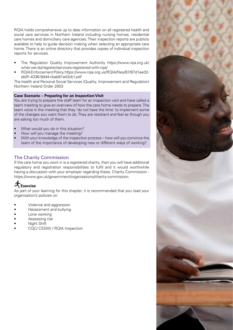RQIA holds comprehensive up to date information on all registered health and social care services in Northern Ireland including nursing homes, residential care homes and domiciliary care agencies. Their inspection reports are publicly available to help to guide decision making when selecting an appropriate care home. There is an online directory that provides copies of individual inspection reports for services.

- The Regulation Quality Improvement Authority https://www.rqia.org.uk/ what-we-do/register/services-registered-with-rqia/
- RQIA Enforcement Policy https://www.rqia.org.uk/RQIA/files/87/87d1ee32 eb91-4336-9dd4-cbab81a43cb1.pdf

The health and Personal Social Services (Quality, Improvement and Regulation) Northern Ireland Order 2003

#### **Case Scenario – Preparing for an Inspection Visit**

You are trying to prepare the staff team for an inspection visit and have called a team meeting to give an overview of how the care home needs to prepare. The team voice in the meeting that they 'do not have the time' to implement some of the changes you want them to do. They are resistant and feel as though you are asking too much of them.

- What would you do in this situation?
- How will you manage the meeting?
- With your knowledge of the inspection process how will you convince the team of the importance of developing new or different ways of working?

#### The Charity Commission

If the care home you work in is a registered charity, then you will have additional regulatory and registration responsibilities to fulfil and it would worthwhile having a discussion with your employer regarding these. Charity Commission https://www.gov.uk/government/organisations/charity-commission.

### **Exercise**

As part of your learning for this chapter, it is recommended that you read your organisation's policies on:

- Violence and aggression
- Harassment and bullying
- Lone working
- Assessing risk
- Night Shift
- CQC/ CSSIW / RQIA Inspection

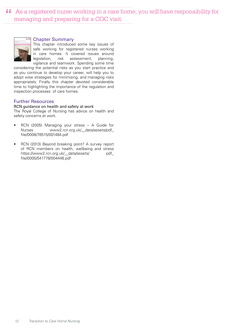II As a registered nurse working in a care home, you will have responsibility for managing and preparing for a COC visit managing and preparing for a CQC visit

#### Chapter Summary

This chapter introduced some key issues of safe working for registered nurses working in care homes. It covered issues around legislation, risk assessment, planning, vigilance and teamwork. Spending some time

considering the potential risks as you start practice and as you continue to develop your career, will help you to adopt wise strategies for minimising, and managing risks appropriately. Finally this chapter devoted considerable time to highlighting the importance of the regulation and inspection processes of care homes.

#### Further Resources

#### RCN guidance on health and safety at work

The Royal College of Nursing has advice on health and safety concerns at work.

- RCN (2005) Managing your stress A Guide for Nurses www2.rcn.org.uk/\_\_data/assets/pdf\_ file/0008/78515/001484.pdf
- RCN (2013) Beyond breaking point? A survey report of RCN members on health, wellbeing and stress https://www2.rcn.org.uk/\_\_data/assets/ pdf\_ file/0005/541778/004448.pdf